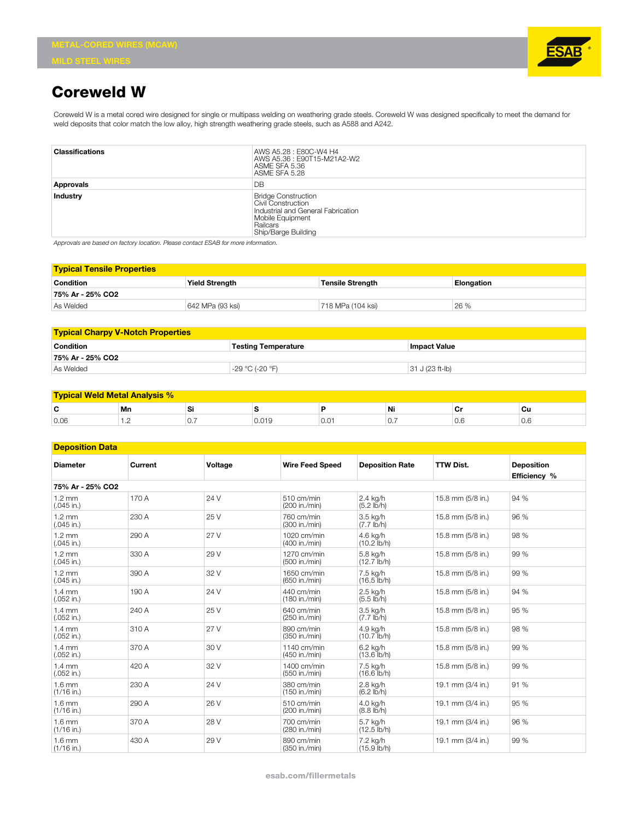

## **Coreweld W**

Coreweld W is a metal cored wire designed for single or multipass welding on weathering grade steels. Coreweld W was designed specifically to meet the demand for weld deposits that color match the low alloy, high strength weathering grade steels, such as A588 and A242.

| <b>Classifications</b> | AWS A5.28 : E80C-W4 H4<br>AWS A5.36 : E90T15-M21A2-W2<br>ASME SFA 5.36<br>ASME SFA 5.28                                                              |
|------------------------|------------------------------------------------------------------------------------------------------------------------------------------------------|
| Approvals              | DB                                                                                                                                                   |
| Industry               | <b>Bridge Construction</b><br>Civil Construction<br>Industrial and General Fabrication<br>Mobile Equipment<br>Railcars<br><b>Ship/Barge Building</b> |

*Approvals are based on factory location. Please contact ESAB for more information.*

| <b>Typical Tensile Properties</b> |                       |                         |                   |  |  |
|-----------------------------------|-----------------------|-------------------------|-------------------|--|--|
| <b>Condition</b>                  | <b>Yield Strength</b> | <b>Tensile Strength</b> | <b>Elongation</b> |  |  |
| 75% Ar - 25% CO2                  |                       |                         |                   |  |  |
| As Welded                         | 642 MPa (93 ksi)      | 718 MPa (104 ksi)       | 26 %              |  |  |

| <b>Typical Charpy V-Notch Properties</b>                       |                 |                   |  |  |  |  |
|----------------------------------------------------------------|-----------------|-------------------|--|--|--|--|
| <b>Condition</b><br>lmpact Value<br><b>Testing Temperature</b> |                 |                   |  |  |  |  |
| 75% Ar - 25% CO2                                               |                 |                   |  |  |  |  |
| As Welded                                                      | -29 °C (-20 °F) | $31 J (23 ft-lb)$ |  |  |  |  |

### **Typical Weld Metal Analysis %**

|      | Mn |  |  |     | Ni | $\sim$<br>ັ | ັບແ |
|------|----|--|--|-----|----|-------------|-----|
| 0.06 | .  |  |  | v.v | U. |             | v.c |

#### **Deposition Data**

| <b>Diameter</b>                  | Current | Voltage | <b>Wire Feed Speed</b>         | <b>Deposition Rate</b>             | <b>TTW Dist.</b>  | <b>Deposition</b><br>Efficiency % |
|----------------------------------|---------|---------|--------------------------------|------------------------------------|-------------------|-----------------------------------|
| 75% Ar - 25% CO2                 |         |         |                                |                                    |                   |                                   |
| $1.2 \text{ mm}$<br>$(.045$ in.) | 170 A   | 24 V    | 510 cm/min<br>(200 in./min)    | 2.4 kg/h<br>$(5.2 \, \text{Ib/h})$ | 15.8 mm (5/8 in.) | 94 %                              |
| $1.2 \text{ mm}$<br>$(.045$ in.) | 230 A   | 25 V    | 760 cm/min<br>(300 in./min)    | 3.5 kg/h<br>$(7.7 \text{ lb/h})$   | 15.8 mm (5/8 in.) | 96 %                              |
| $1.2 \text{ mm}$<br>$(.045$ in.) | 290 A   | 27 V    | 1020 cm/min<br>(400 in./min)   | 4.6 ka/h<br>$(10.2$ (b/h)          | 15.8 mm (5/8 in.) | 98 %                              |
| $1.2 \text{ mm}$<br>$(.045$ in.) | 330 A   | 29 V    | 1270 cm/min<br>(500 in./min)   | 5.8 ka/h<br>$(12.7$ (b/h)          | 15.8 mm (5/8 in.) | 99 %                              |
| $1.2 \text{ mm}$<br>$(.045$ in.) | 390 A   | 32 V    | 1650 cm/min<br>(650 in./min)   | 7.5 kg/h<br>$(16.5$ (b/h)          | 15.8 mm (5/8 in.) | 99 %                              |
| $1.4 \text{ mm}$<br>$(.052$ in.) | 190 A   | 24 V    | 440 cm/min<br>(180 in./min)    | 2.5 kg/h<br>$(5.5 \, \text{lb/h})$ | 15.8 mm (5/8 in.) | 94 %                              |
| $1.4 \text{ mm}$<br>$(.052$ in.) | 240 A   | 25 V    | 640 cm/min<br>(250 in./min)    | 3.5 kg/h<br>$(7.7 \text{ lb/h})$   | 15.8 mm (5/8 in.) | 95 %                              |
| $1.4 \text{ mm}$<br>$(.052$ in.) | 310 A   | 27 V    | 890 cm/min<br>(350 in./min)    | 4.9 kg/h<br>$(10.7$ (b/h)          | 15.8 mm (5/8 in.) | 98 %                              |
| $1.4 \text{ mm}$<br>$(.052$ in.) | 370 A   | 30 V    | $1140$ cm/min<br>(450 in./min) | 6.2 kg/h<br>$(13.6$ (b/h)          | 15.8 mm (5/8 in.) | 99 %                              |
| $1.4 \text{ mm}$<br>$(.052$ in.) | 420 A   | 32 V    | 1400 cm/min<br>(550 in./min)   | 7.5 ka/h<br>$(16.6$ lb/h)          | 15.8 mm (5/8 in.) | 99 %                              |
| $1.6 \text{ mm}$<br>$(1/16$ in.) | 230 A   | 24 V    | 380 cm/min<br>(150 in./min)    | 2.8 kg/h<br>$(6.2 \text{ lb/h})$   | 19.1 mm (3/4 in.) | 91 %                              |
| $1.6 \text{ mm}$<br>$(1/16$ in.) | 290 A   | 26 V    | 510 cm/min<br>(200 in./min)    | 4.0 kg/h<br>$(8.8 \, \text{lb/h})$ | 19.1 mm (3/4 in.) | 95 %                              |
| $1.6 \text{ mm}$<br>$(1/16$ in.) | 370 A   | 28 V    | 700 cm/min<br>(280 in./min)    | 5.7 kg/h<br>$(12.5$ (b/h)          | 19.1 mm (3/4 in.) | 96 %                              |
| $1.6 \text{ mm}$<br>$(1/16$ in.) | 430 A   | 29 V    | 890 cm/min<br>(350 in./min)    | 7.2 kg/h<br>$(15.9$ lb/h)          | 19.1 mm (3/4 in.) | 99 %                              |